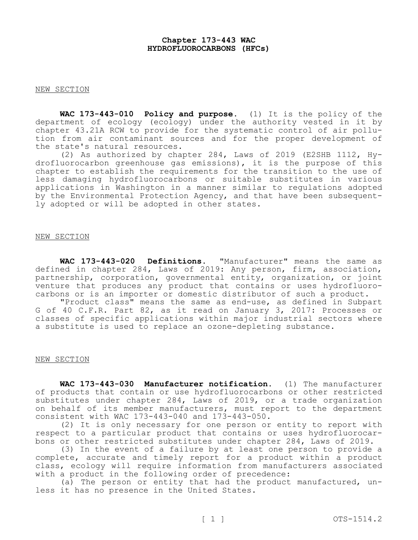## **Chapter 173-443 WAC HYDROFLUOROCARBONS (HFCs)**

#### NEW SECTION

**WAC 173-443-010 Policy and purpose.** (1) It is the policy of the department of ecology (ecology) under the authority vested in it by chapter 43.21A RCW to provide for the systematic control of air pollution from air contaminant sources and for the proper development of the state's natural resources.

(2) As authorized by chapter 284, Laws of 2019 (E2SHB 1112, Hydrofluorocarbon greenhouse gas emissions), it is the purpose of this chapter to establish the requirements for the transition to the use of less damaging hydrofluorocarbons or suitable substitutes in various applications in Washington in a manner similar to regulations adopted by the Environmental Protection Agency, and that have been subsequently adopted or will be adopted in other states.

# NEW SECTION

**WAC 173-443-020 Definitions.** "Manufacturer" means the same as defined in chapter 284, Laws of 2019: Any person, firm, association, partnership, corporation, governmental entity, organization, or joint venture that produces any product that contains or uses hydrofluorocarbons or is an importer or domestic distributor of such a product.

"Product class" means the same as end-use, as defined in Subpart G of 40 C.F.R. Part 82, as it read on January 3, 2017: Processes or classes of specific applications within major industrial sectors where a substitute is used to replace an ozone-depleting substance.

#### NEW SECTION

**WAC 173-443-030 Manufacturer notification.** (1) The manufacturer of products that contain or use hydrofluorocarbons or other restricted substitutes under chapter 284, Laws of 2019, or a trade organization on behalf of its member manufacturers, must report to the department consistent with WAC 173-443-040 and 173-443-050.

(2) It is only necessary for one person or entity to report with respect to a particular product that contains or uses hydrofluorocarbons or other restricted substitutes under chapter 284, Laws of 2019.

(3) In the event of a failure by at least one person to provide a complete, accurate and timely report for a product within a product class, ecology will require information from manufacturers associated with a product in the following order of precedence:

(a) The person or entity that had the product manufactured, unless it has no presence in the United States.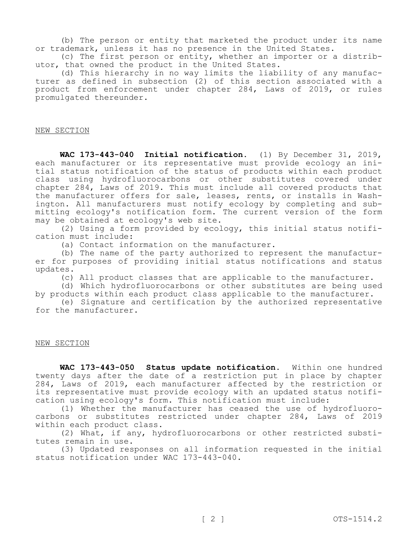(b) The person or entity that marketed the product under its name or trademark, unless it has no presence in the United States.

(c) The first person or entity, whether an importer or a distributor, that owned the product in the United States.

(d) This hierarchy in no way limits the liability of any manufacturer as defined in subsection (2) of this section associated with a product from enforcement under chapter 284, Laws of 2019, or rules promulgated thereunder.

#### NEW SECTION

**WAC 173-443-040 Initial notification.** (1) By December 31, 2019, each manufacturer or its representative must provide ecology an initial status notification of the status of products within each product class using hydrofluorocarbons or other substitutes covered under chapter 284, Laws of 2019. This must include all covered products that the manufacturer offers for sale, leases, rents, or installs in Washington. All manufacturers must notify ecology by completing and submitting ecology's notification form. The current version of the form may be obtained at ecology's web site.

(2) Using a form provided by ecology, this initial status notification must include:

(a) Contact information on the manufacturer.

(b) The name of the party authorized to represent the manufacturer for purposes of providing initial status notifications and status updates.

(c) All product classes that are applicable to the manufacturer.

(d) Which hydrofluorocarbons or other substitutes are being used by products within each product class applicable to the manufacturer.

(e) Signature and certification by the authorized representative for the manufacturer.

## NEW SECTION

**WAC 173-443-050 Status update notification.** Within one hundred twenty days after the date of a restriction put in place by chapter 284, Laws of 2019, each manufacturer affected by the restriction or its representative must provide ecology with an updated status notification using ecology's form. This notification must include:

(1) Whether the manufacturer has ceased the use of hydrofluorocarbons or substitutes restricted under chapter 284, Laws of 2019 within each product class.

(2) What, if any, hydrofluorocarbons or other restricted substitutes remain in use.

(3) Updated responses on all information requested in the initial status notification under WAC 173-443-040.